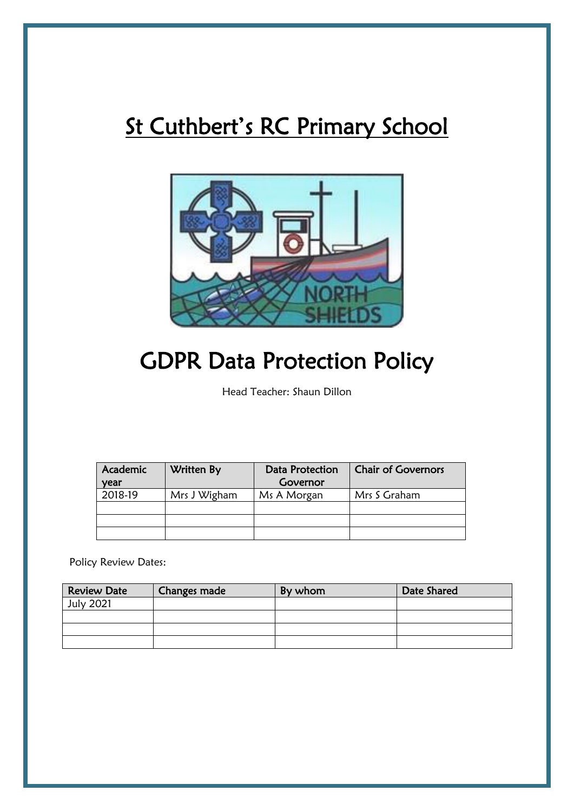# St Cuthbert's RC Primary School



# GDPR Data Protection Policy

Head Teacher: Shaun Dillon

| Academic<br>vear | Written By   | Data Protection<br>Governor | <b>Chair of Governors</b> |
|------------------|--------------|-----------------------------|---------------------------|
| 2018-19          | Mrs J Wigham | Ms A Morgan                 | Mrs S Graham              |
|                  |              |                             |                           |
|                  |              |                             |                           |
|                  |              |                             |                           |

Policy Review Dates:

| <b>Review Date</b> | <b>Changes made</b> | By whom | Date Shared |
|--------------------|---------------------|---------|-------------|
| <b>July 2021</b>   |                     |         |             |
|                    |                     |         |             |
|                    |                     |         |             |
|                    |                     |         |             |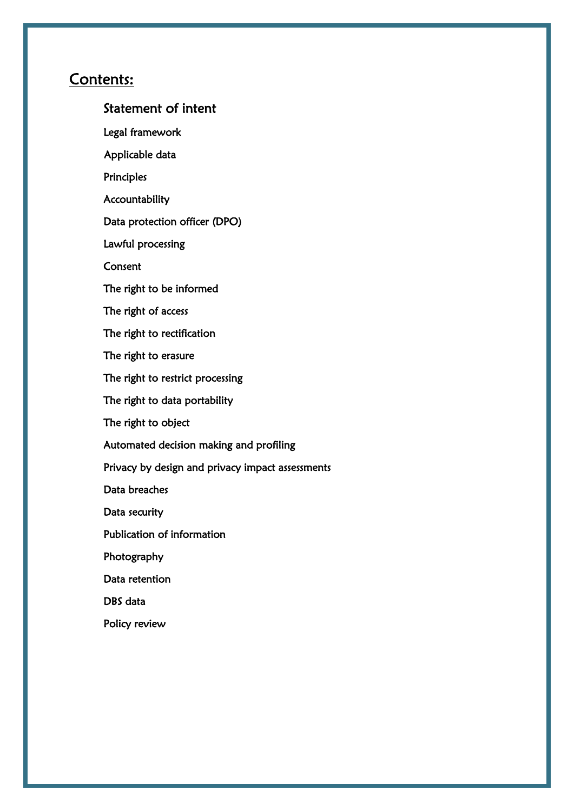## Contents:

### Statement of intent

Legal framework

Applicable data

**Principles** 

Accountability

Data protection officer (DPO)

Lawful processing

Consent

The right to be informed

The right of access

The right to rectification

The right to erasure

The right to restrict processing

The right to data portability

The right to object

[Automated decision making and profiling](#page-16-0) 

Privacy by design and privacy impact assessments

Data breaches

Data security

Publication of information

Photography

Data retention

DBS data

Policy review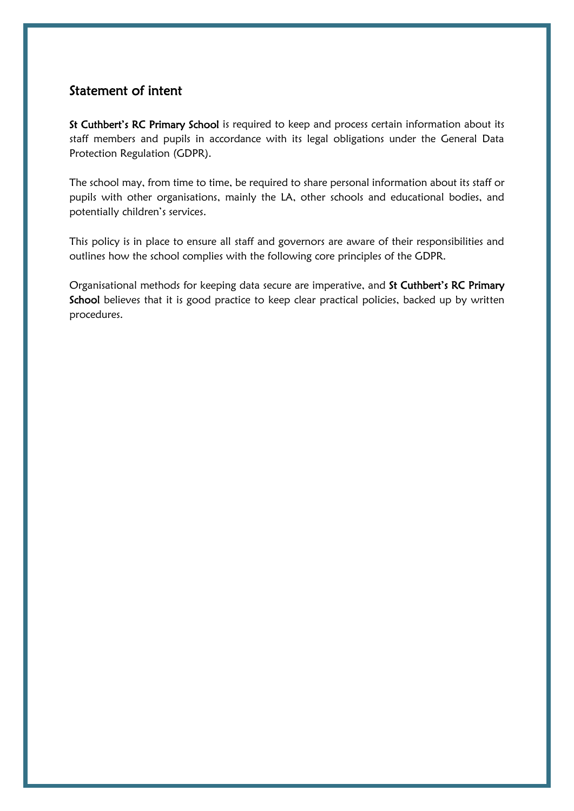## Statement of intent

St Cuthbert's RC Primary School is required to keep and process certain information about its staff members and pupils in accordance with its legal obligations under the General Data Protection Regulation (GDPR).

The school may, from time to time, be required to share personal information about its staff or pupils with other organisations, mainly the LA, other schools and educational bodies, and potentially children's services.

This policy is in place to ensure all staff and governors are aware of their responsibilities and outlines how the school complies with the following core principles of the GDPR.

Organisational methods for keeping data secure are imperative, and St Cuthbert's RC Primary School believes that it is good practice to keep clear practical policies, backed up by written procedures.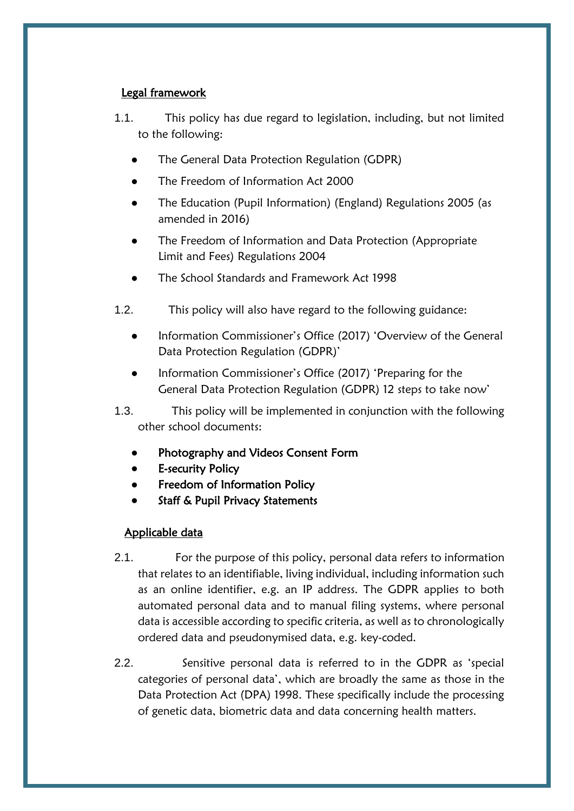#### Legal framework

- 1.1. This policy has due regard to legislation, including, but not limited to the following:
	- The General Data Protection Regulation (GDPR)
	- The Freedom of Information Act 2000
	- The Education (Pupil Information) (England) Regulations 2005 (as amended in 2016)
	- The Freedom of Information and Data Protection (Appropriate Limit and Fees) Regulations 2004
	- The School Standards and Framework Act 1998
- 1.2. This policy will also have regard to the following guidance:
	- Information Commissioner's Office (2017) 'Overview of the General Data Protection Regulation (GDPR)'
	- Information Commissioner's Office (2017) 'Preparing for the General Data Protection Regulation (GDPR) 12 steps to take now'
- 1.3. This policy will be implemented in conjunction with the following other school documents:
	- Photography and Videos Consent Form
	- **E-security Policy**
	- Freedom of Information Policy
	- Staff & Pupil Privacy Statements

#### Applicable data

- 2.1. For the purpose of this policy, personal data refers to information that relates to an identifiable, living individual, including information such as an online identifier, e.g. an IP address. The GDPR applies to both automated personal data and to manual filing systems, where personal data is accessible according to specific criteria, as well as to chronologically ordered data and pseudonymised data, e.g. key-coded.
- 2.2. Sensitive personal data is referred to in the GDPR as 'special categories of personal data', which are broadly the same as those in the Data Protection Act (DPA) 1998. These specifically include the processing of genetic data, biometric data and data concerning health matters.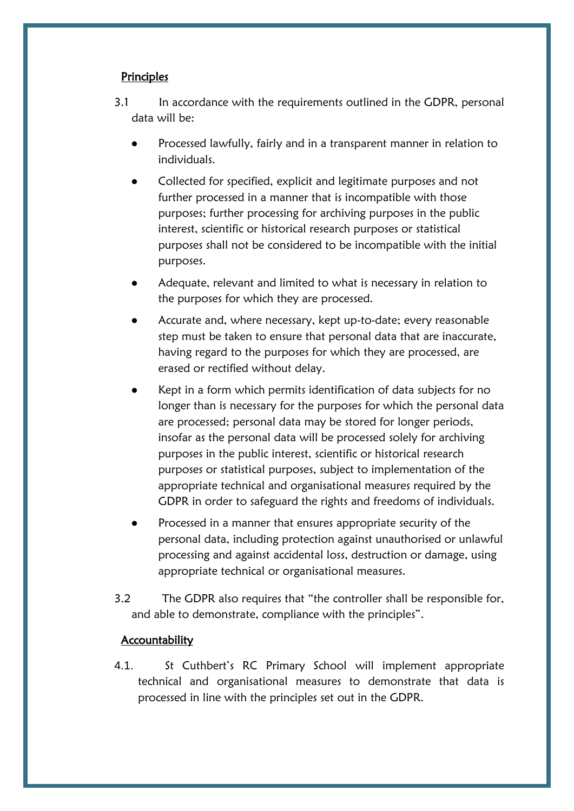#### **Principles**

- 3.1 In accordance with the requirements outlined in the GDPR, personal data will be:
	- Processed lawfully, fairly and in a transparent manner in relation to individuals.
	- Collected for specified, explicit and legitimate purposes and not further processed in a manner that is incompatible with those purposes; further processing for archiving purposes in the public interest, scientific or historical research purposes or statistical purposes shall not be considered to be incompatible with the initial purposes.
	- Adequate, relevant and limited to what is necessary in relation to the purposes for which they are processed.
	- Accurate and, where necessary, kept up-to-date; every reasonable step must be taken to ensure that personal data that are inaccurate, having regard to the purposes for which they are processed, are erased or rectified without delay.
	- Kept in a form which permits identification of data subjects for no longer than is necessary for the purposes for which the personal data are processed; personal data may be stored for longer periods, insofar as the personal data will be processed solely for archiving purposes in the public interest, scientific or historical research purposes or statistical purposes, subject to implementation of the appropriate technical and organisational measures required by the GDPR in order to safeguard the rights and freedoms of individuals.
	- Processed in a manner that ensures appropriate security of the personal data, including protection against unauthorised or unlawful processing and against accidental loss, destruction or damage, using appropriate technical or organisational measures.
- 3.2 The GDPR also requires that "the controller shall be responsible for, and able to demonstrate, compliance with the principles".

#### Accountability

4.1. St Cuthbert's RC Primary School will implement appropriate technical and organisational measures to demonstrate that data is processed in line with the principles set out in the GDPR.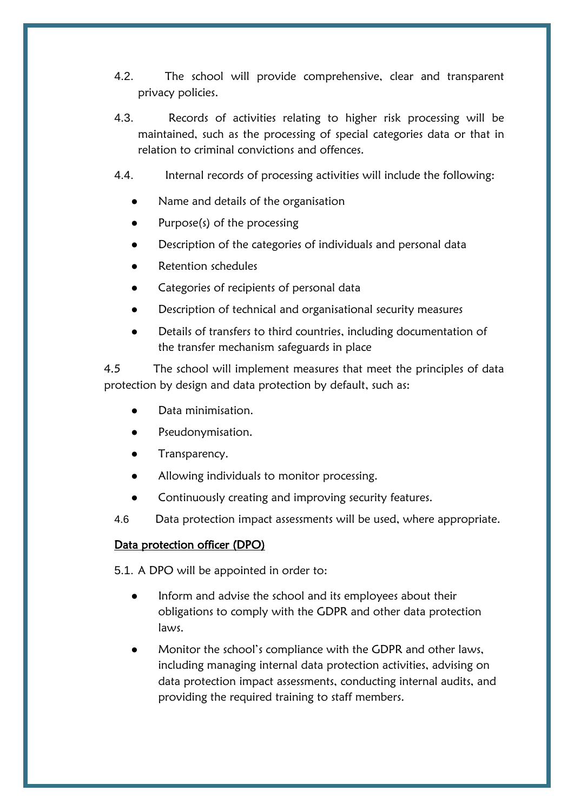- 4.2. The school will provide comprehensive, clear and transparent privacy policies.
- 4.3. Records of activities relating to higher risk processing will be maintained, such as the processing of special categories data or that in relation to criminal convictions and offences.
- 4.4. Internal records of processing activities will include the following:
	- Name and details of the organisation
	- Purpose $(s)$  of the processing
	- Description of the categories of individuals and personal data
	- **Retention schedules**
	- Categories of recipients of personal data
	- Description of technical and organisational security measures
	- Details of transfers to third countries, including documentation of the transfer mechanism safeguards in place

4.5 The school will implement measures that meet the principles of data protection by design and data protection by default, such as:

- Data minimisation.
- Pseudonymisation.
- Transparency.
- Allowing individuals to monitor processing.
- Continuously creating and improving security features.
- 4.6 Data protection impact assessments will be used, where appropriate.

#### Data protection officer (DPO)

5.1. A DPO will be appointed in order to:

- Inform and advise the school and its employees about their obligations to comply with the GDPR and other data protection laws.
- Monitor the school's compliance with the GDPR and other laws, including managing internal data protection activities, advising on data protection impact assessments, conducting internal audits, and providing the required training to staff members.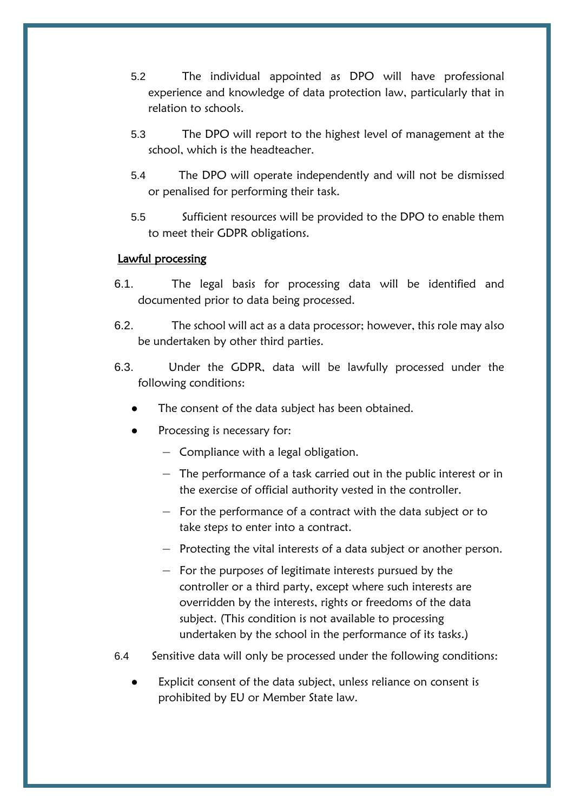- 5.2 The individual appointed as DPO will have professional experience and knowledge of data protection law, particularly that in relation to schools.
- 5.3 The DPO will report to the highest level of management at the school, which is the headteacher.
- 5.4 The DPO will operate independently and will not be dismissed or penalised for performing their task.
- 5.5 Sufficient resources will be provided to the DPO to enable them to meet their GDPR obligations.

#### Lawful processing

- 6.1. The legal basis for processing data will be identified and documented prior to data being processed.
- 6.2. The school will act as a data processor; however, this role may also be undertaken by other third parties.
- 6.3. Under the GDPR, data will be lawfully processed under the following conditions:
	- The consent of the data subject has been obtained.
	- Processing is necessary for:
		- Compliance with a legal obligation.
		- The performance of a task carried out in the public interest or in the exercise of official authority vested in the controller.
		- For the performance of a contract with the data subject or to take steps to enter into a contract.
		- Protecting the vital interests of a data subject or another person.
		- For the purposes of legitimate interests pursued by the controller or a third party, except where such interests are overridden by the interests, rights or freedoms of the data subject. (This condition is not available to processing undertaken by the school in the performance of its tasks.)
- 6.4 Sensitive data will only be processed under the following conditions:
	- Explicit consent of the data subject, unless reliance on consent is prohibited by EU or Member State law.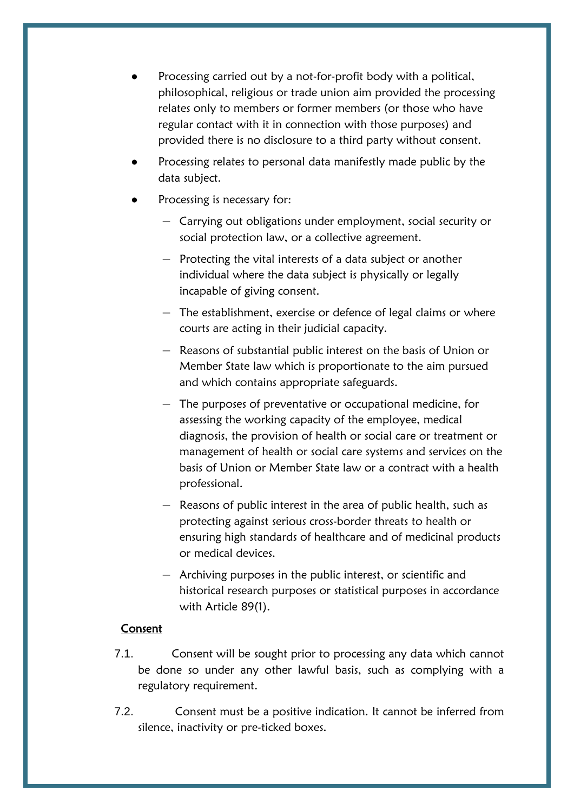- Processing carried out by a not-for-profit body with a political, philosophical, religious or trade union aim provided the processing relates only to members or former members (or those who have regular contact with it in connection with those purposes) and provided there is no disclosure to a third party without consent.
- Processing relates to personal data manifestly made public by the data subject.
- Processing is necessary for:
	- Carrying out obligations under employment, social security or social protection law, or a collective agreement.
	- Protecting the vital interests of a data subject or another individual where the data subject is physically or legally incapable of giving consent.
	- The establishment, exercise or defence of legal claims or where courts are acting in their judicial capacity.
	- Reasons of substantial public interest on the basis of Union or Member State law which is proportionate to the aim pursued and which contains appropriate safeguards.
	- The purposes of preventative or occupational medicine, for assessing the working capacity of the employee, medical diagnosis, the provision of health or social care or treatment or management of health or social care systems and services on the basis of Union or Member State law or a contract with a health professional.
	- Reasons of public interest in the area of public health, such as protecting against serious cross-border threats to health or ensuring high standards of healthcare and of medicinal products or medical devices.
	- Archiving purposes in the public interest, or scientific and historical research purposes or statistical purposes in accordance with Article 89(1).

#### Consent

- 7.1. Consent will be sought prior to processing any data which cannot be done so under any other lawful basis, such as complying with a regulatory requirement.
- 7.2. Consent must be a positive indication. It cannot be inferred from silence, inactivity or pre-ticked boxes.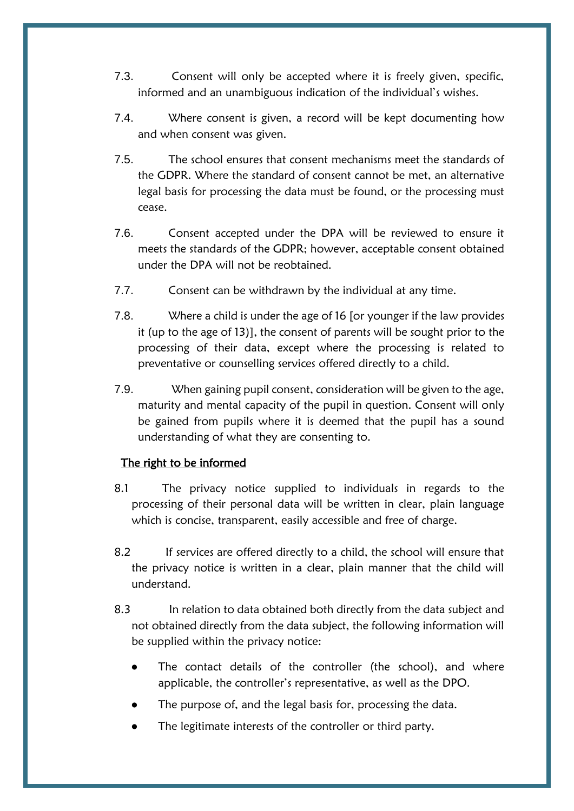- 7.3. Consent will only be accepted where it is freely given, specific, informed and an unambiguous indication of the individual's wishes.
- 7.4. Where consent is given, a record will be kept documenting how and when consent was given.
- 7.5. The school ensures that consent mechanisms meet the standards of the GDPR. Where the standard of consent cannot be met, an alternative legal basis for processing the data must be found, or the processing must cease.
- 7.6. Consent accepted under the DPA will be reviewed to ensure it meets the standards of the GDPR; however, acceptable consent obtained under the DPA will not be reobtained.
- 7.7. Consent can be withdrawn by the individual at any time.
- 7.8. Where a child is under the age of 16 [or younger if the law provides it (up to the age of 13)], the consent of parents will be sought prior to the processing of their data, except where the processing is related to preventative or counselling services offered directly to a child.
- 7.9. When gaining pupil consent, consideration will be given to the age, maturity and mental capacity of the pupil in question. Consent will only be gained from pupils where it is deemed that the pupil has a sound understanding of what they are consenting to.

#### The right to be informed

- 8.1 The privacy notice supplied to individuals in regards to the processing of their personal data will be written in clear, plain language which is concise, transparent, easily accessible and free of charge.
- 8.2 If services are offered directly to a child, the school will ensure that the privacy notice is written in a clear, plain manner that the child will understand.
- 8.3 In relation to data obtained both directly from the data subject and not obtained directly from the data subject, the following information will be supplied within the privacy notice:
	- The contact details of the controller (the school), and where applicable, the controller's representative, as well as the DPO.
	- The purpose of, and the legal basis for, processing the data.
	- The legitimate interests of the controller or third party.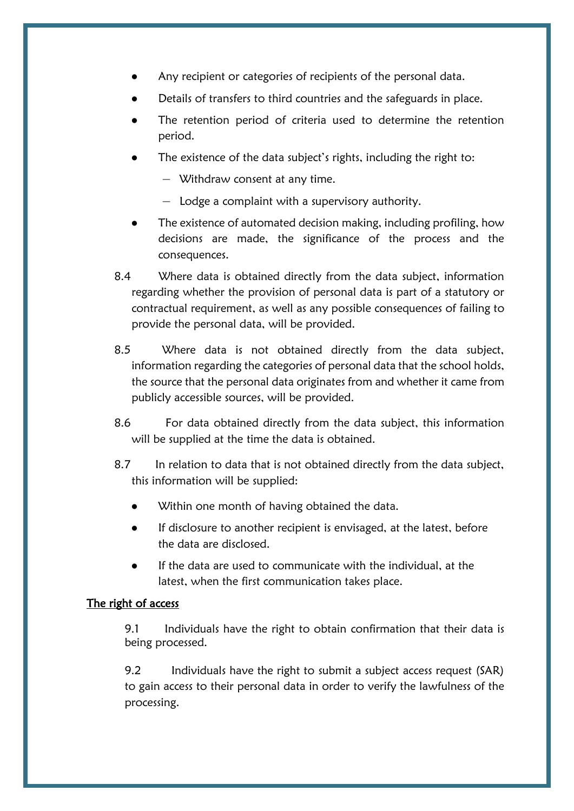- Any recipient or categories of recipients of the personal data.
- Details of transfers to third countries and the safeguards in place.
- The retention period of criteria used to determine the retention period.
- The existence of the data subject's rights, including the right to:
	- Withdraw consent at any time.
	- Lodge a complaint with a supervisory authority.
- The existence of automated decision making, including profiling, how decisions are made, the significance of the process and the consequences.
- 8.4 Where data is obtained directly from the data subject, information regarding whether the provision of personal data is part of a statutory or contractual requirement, as well as any possible consequences of failing to provide the personal data, will be provided.
- 8.5 Where data is not obtained directly from the data subject, information regarding the categories of personal data that the school holds, the source that the personal data originates from and whether it came from publicly accessible sources, will be provided.
- 8.6 For data obtained directly from the data subject, this information will be supplied at the time the data is obtained.
- 8.7 In relation to data that is not obtained directly from the data subject, this information will be supplied:
	- Within one month of having obtained the data.
	- If disclosure to another recipient is envisaged, at the latest, before the data are disclosed.
	- If the data are used to communicate with the individual, at the latest, when the first communication takes place.

#### The right of access

9.1 Individuals have the right to obtain confirmation that their data is being processed.

9.2 Individuals have the right to submit a subject access request (SAR) to gain access to their personal data in order to verify the lawfulness of the processing.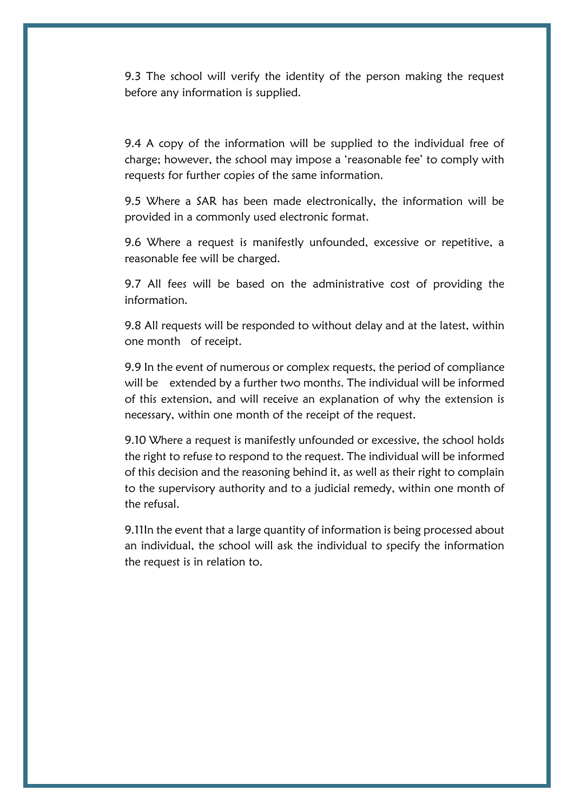9.3 The school will verify the identity of the person making the request before any information is supplied.

9.4 A copy of the information will be supplied to the individual free of charge; however, the school may impose a 'reasonable fee' to comply with requests for further copies of the same information.

9.5 Where a SAR has been made electronically, the information will be provided in a commonly used electronic format.

9.6 Where a request is manifestly unfounded, excessive or repetitive, a reasonable fee will be charged.

9.7 All fees will be based on the administrative cost of providing the information.

9.8 All requests will be responded to without delay and at the latest, within one month of receipt.

9.9 In the event of numerous or complex requests, the period of compliance will be extended by a further two months. The individual will be informed of this extension, and will receive an explanation of why the extension is necessary, within one month of the receipt of the request.

9.10 Where a request is manifestly unfounded or excessive, the school holds the right to refuse to respond to the request. The individual will be informed of this decision and the reasoning behind it, as well as their right to complain to the supervisory authority and to a judicial remedy, within one month of the refusal.

9.11In the event that a large quantity of information is being processed about an individual, the school will ask the individual to specify the information the request is in relation to.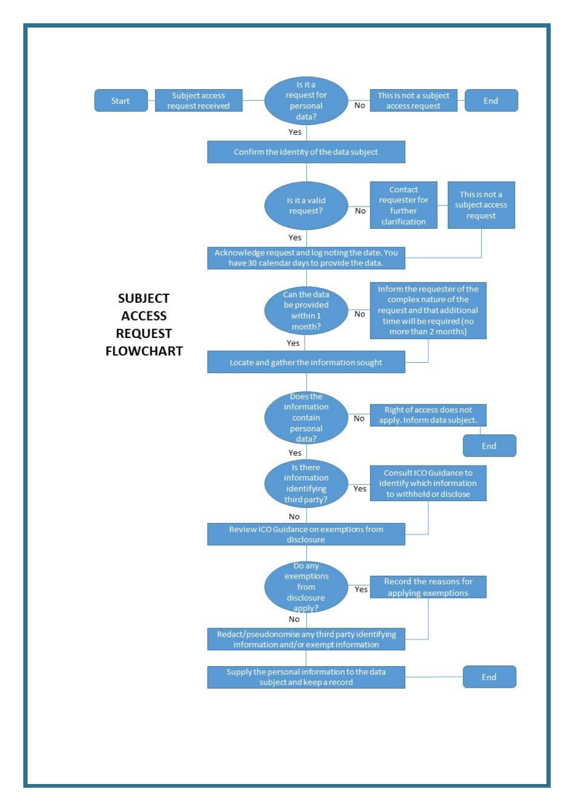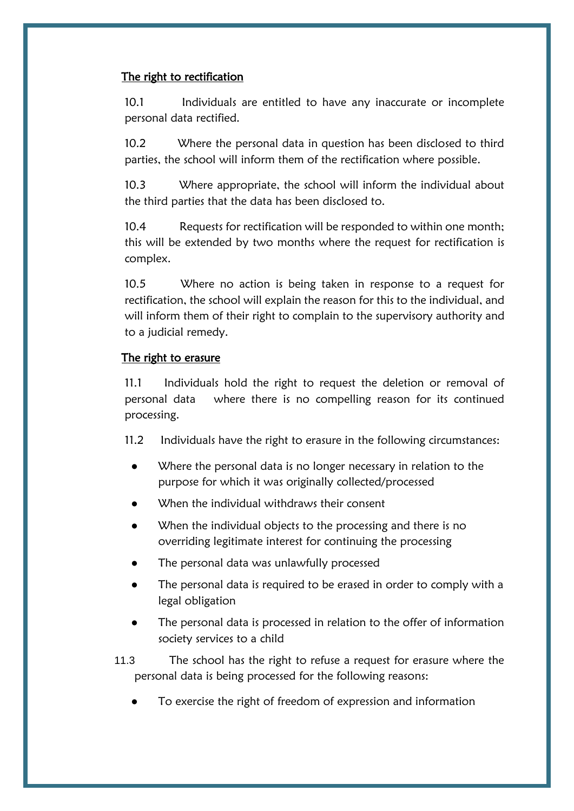#### The right to rectification

10.1 Individuals are entitled to have any inaccurate or incomplete personal data rectified.

10.2 Where the personal data in question has been disclosed to third parties, the school will inform them of the rectification where possible.

10.3 Where appropriate, the school will inform the individual about the third parties that the data has been disclosed to.

10.4 Requests for rectification will be responded to within one month; this will be extended by two months where the request for rectification is complex.

10.5 Where no action is being taken in response to a request for rectification, the school will explain the reason for this to the individual, and will inform them of their right to complain to the supervisory authority and to a judicial remedy.

#### The right to erasure

11.1 Individuals hold the right to request the deletion or removal of personal data where there is no compelling reason for its continued processing.

11.2 Individuals have the right to erasure in the following circumstances:

- Where the personal data is no longer necessary in relation to the purpose for which it was originally collected/processed
- When the individual withdraws their consent
- When the individual objects to the processing and there is no overriding legitimate interest for continuing the processing
- The personal data was unlawfully processed
- The personal data is required to be erased in order to comply with a legal obligation
- The personal data is processed in relation to the offer of information society services to a child
- 11.3 The school has the right to refuse a request for erasure where the personal data is being processed for the following reasons:
	- To exercise the right of freedom of expression and information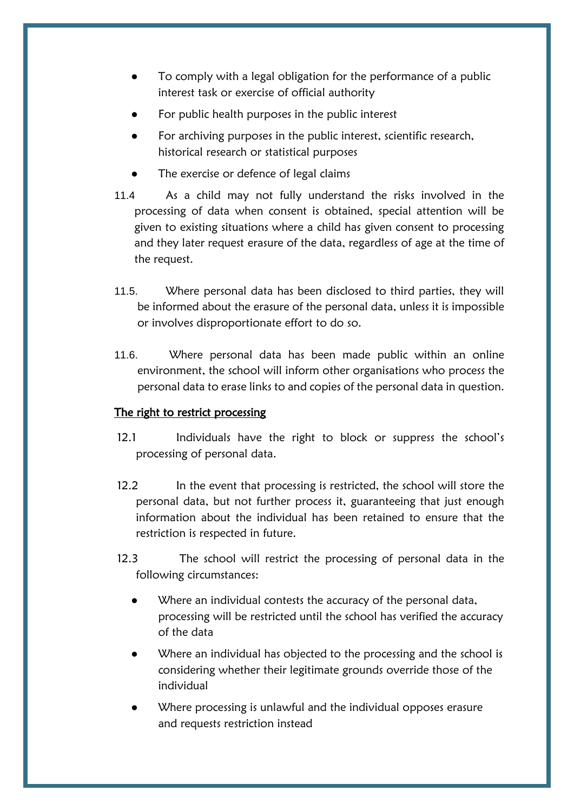- To comply with a legal obligation for the performance of a public interest task or exercise of official authority
- For public health purposes in the public interest
- For archiving purposes in the public interest, scientific research, historical research or statistical purposes
- The exercise or defence of legal claims
- 11.4 As a child may not fully understand the risks involved in the processing of data when consent is obtained, special attention will be given to existing situations where a child has given consent to processing and they later request erasure of the data, regardless of age at the time of the request.
- 11.5. Where personal data has been disclosed to third parties, they will be informed about the erasure of the personal data, unless it is impossible or involves disproportionate effort to do so.
- 11.6. Where personal data has been made public within an online environment, the school will inform other organisations who process the personal data to erase links to and copies of the personal data in question.

#### The right to restrict processing

- 12.1 Individuals have the right to block or suppress the school's processing of personal data.
- 12.2 In the event that processing is restricted, the school will store the personal data, but not further process it, guaranteeing that just enough information about the individual has been retained to ensure that the restriction is respected in future.
- 12.3 The school will restrict the processing of personal data in the following circumstances:
	- Where an individual contests the accuracy of the personal data, processing will be restricted until the school has verified the accuracy of the data
	- Where an individual has objected to the processing and the school is considering whether their legitimate grounds override those of the individual
	- Where processing is unlawful and the individual opposes erasure and requests restriction instead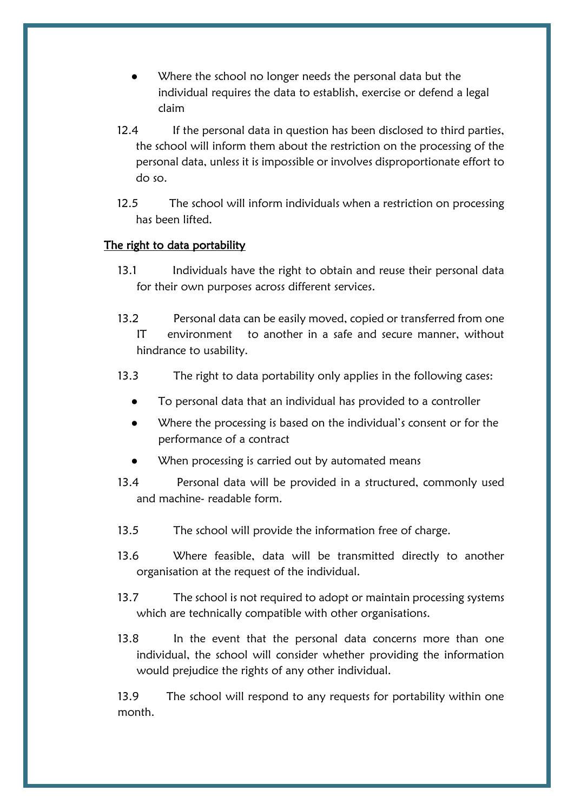- Where the school no longer needs the personal data but the individual requires the data to establish, exercise or defend a legal claim
- 12.4 If the personal data in question has been disclosed to third parties, the school will inform them about the restriction on the processing of the personal data, unless it is impossible or involves disproportionate effort to do so.
- 12.5 The school will inform individuals when a restriction on processing has been lifted.

#### The right to data portability

- 13.1 Individuals have the right to obtain and reuse their personal data for their own purposes across different services.
- 13.2 Personal data can be easily moved, copied or transferred from one IT environment to another in a safe and secure manner, without hindrance to usability.
- 13.3 The right to data portability only applies in the following cases:
	- To personal data that an individual has provided to a controller
	- Where the processing is based on the individual's consent or for the performance of a contract
	- When processing is carried out by automated means
- 13.4 Personal data will be provided in a structured, commonly used and machine- readable form.
- 13.5 The school will provide the information free of charge.
- 13.6 Where feasible, data will be transmitted directly to another organisation at the request of the individual.
- 13.7 The school is not required to adopt or maintain processing systems which are technically compatible with other organisations.
- 13.8 In the event that the personal data concerns more than one individual, the school will consider whether providing the information would prejudice the rights of any other individual.

13.9 The school will respond to any requests for portability within one month.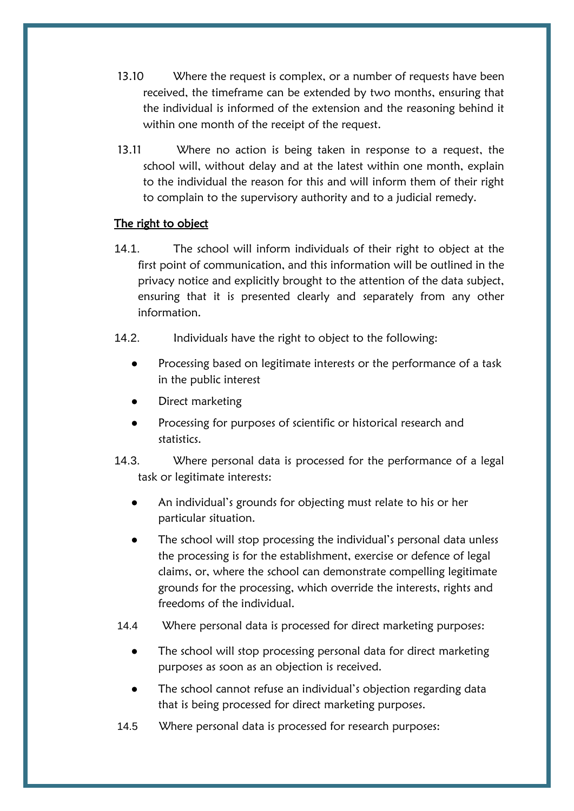- 13.10 Where the request is complex, or a number of requests have been received, the timeframe can be extended by two months, ensuring that the individual is informed of the extension and the reasoning behind it within one month of the receipt of the request.
- 13.11 Where no action is being taken in response to a request, the school will, without delay and at the latest within one month, explain to the individual the reason for this and will inform them of their right to complain to the supervisory authority and to a judicial remedy.

#### The right to object

- 14.1. The school will inform individuals of their right to object at the first point of communication, and this information will be outlined in the privacy notice and explicitly brought to the attention of the data subject, ensuring that it is presented clearly and separately from any other information.
- 14.2. Individuals have the right to object to the following:
	- Processing based on legitimate interests or the performance of a task in the public interest
	- Direct marketing
	- Processing for purposes of scientific or historical research and statistics.
- 14.3. Where personal data is processed for the performance of a legal task or legitimate interests:
	- An individual's grounds for objecting must relate to his or her particular situation.
	- The school will stop processing the individual's personal data unless the processing is for the establishment, exercise or defence of legal claims, or, where the school can demonstrate compelling legitimate grounds for the processing, which override the interests, rights and freedoms of the individual.
- 14.4 Where personal data is processed for direct marketing purposes:
	- The school will stop processing personal data for direct marketing purposes as soon as an objection is received.
	- The school cannot refuse an individual's objection regarding data that is being processed for direct marketing purposes.
- 14.5 Where personal data is processed for research purposes: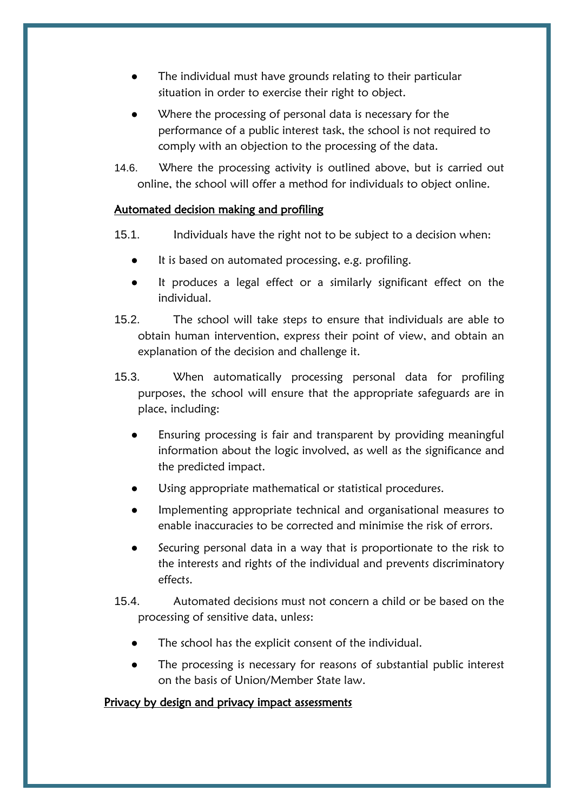- The individual must have grounds relating to their particular situation in order to exercise their right to object.
- Where the processing of personal data is necessary for the performance of a public interest task, the school is not required to comply with an objection to the processing of the data.
- 14.6. Where the processing activity is outlined above, but is carried out online, the school will offer a method for individuals to object online.

#### <span id="page-16-0"></span>Automated decision making and profiling

- 15.1. Individuals have the right not to be subject to a decision when:
	- It is based on automated processing, e.g. profiling.
	- It produces a legal effect or a similarly significant effect on the individual.
- 15.2. The school will take steps to ensure that individuals are able to obtain human intervention, express their point of view, and obtain an explanation of the decision and challenge it.
- 15.3. When automatically processing personal data for profiling purposes, the school will ensure that the appropriate safeguards are in place, including:
	- Ensuring processing is fair and transparent by providing meaningful information about the logic involved, as well as the significance and the predicted impact.
	- Using appropriate mathematical or statistical procedures.
	- Implementing appropriate technical and organisational measures to enable inaccuracies to be corrected and minimise the risk of errors.
	- Securing personal data in a way that is proportionate to the risk to the interests and rights of the individual and prevents discriminatory effects.
- 15.4. Automated decisions must not concern a child or be based on the processing of sensitive data, unless:
	- The school has the explicit consent of the individual.
	- The processing is necessary for reasons of substantial public interest on the basis of Union/Member State law.

## Privacy by design and privacy impact assessments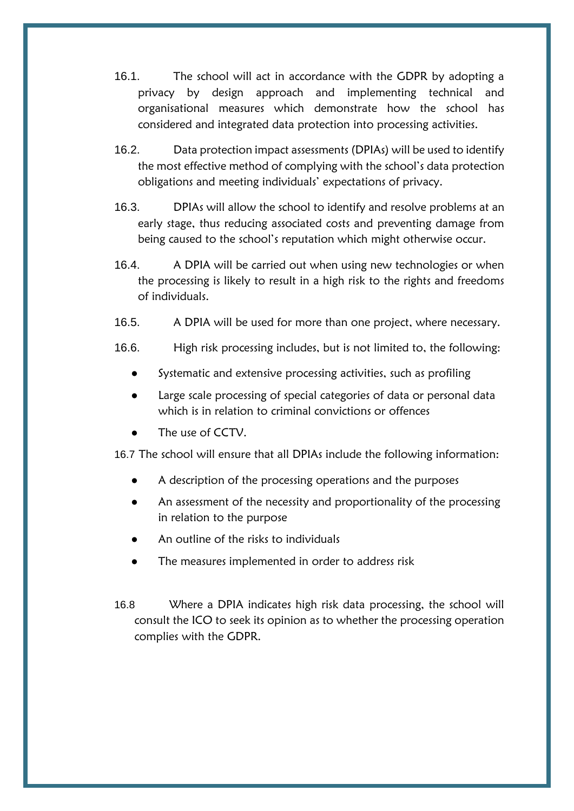- 16.1. The school will act in accordance with the GDPR by adopting a privacy by design approach and implementing technical and organisational measures which demonstrate how the school has considered and integrated data protection into processing activities.
- 16.2. Data protection impact assessments (DPIAs) will be used to identify the most effective method of complying with the school's data protection obligations and meeting individuals' expectations of privacy.
- 16.3. DPIAs will allow the school to identify and resolve problems at an early stage, thus reducing associated costs and preventing damage from being caused to the school's reputation which might otherwise occur.
- 16.4. A DPIA will be carried out when using new technologies or when the processing is likely to result in a high risk to the rights and freedoms of individuals.
- 16.5. A DPIA will be used for more than one project, where necessary.
- 16.6. High risk processing includes, but is not limited to, the following:
	- Systematic and extensive processing activities, such as profiling
	- Large scale processing of special categories of data or personal data which is in relation to criminal convictions or offences
	- The use of CCTV.

16.7 The school will ensure that all DPIAs include the following information:

- A description of the processing operations and the purposes
- An assessment of the necessity and proportionality of the processing in relation to the purpose
- An outline of the risks to individuals
- The measures implemented in order to address risk
- 16.8 Where a DPIA indicates high risk data processing, the school will consult the ICO to seek its opinion as to whether the processing operation complies with the GDPR.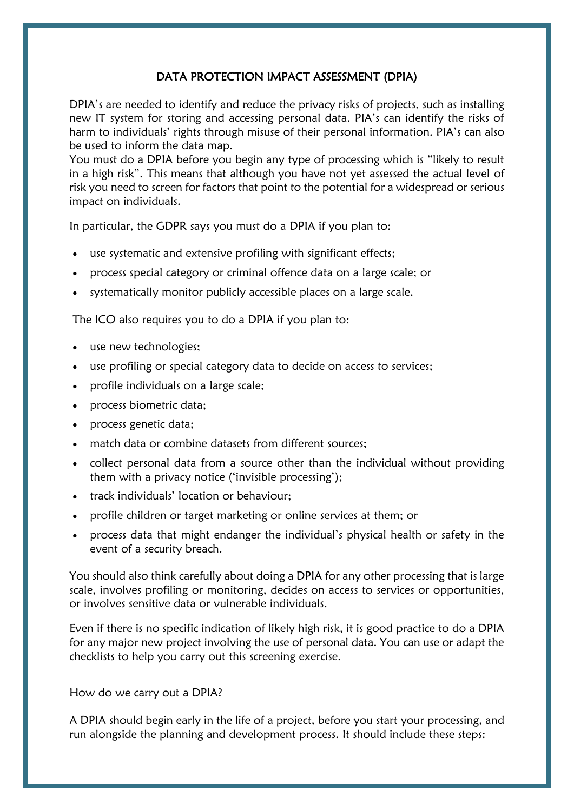### DATA PROTECTION IMPACT ASSESSMENT (DPIA)

DPIA's are needed to identify and reduce the privacy risks of projects, such as installing new IT system for storing and accessing personal data. PIA's can identify the risks of harm to individuals' rights through misuse of their personal information. PIA's can also be used to inform the data map.

You must do a DPIA before you begin any type of processing which is "likely to result in a high risk". This means that although you have not yet assessed the actual level of risk you need to screen for factors that point to the potential for a widespread or serious impact on individuals.

In particular, the GDPR says you must do a DPIA if you plan to:

- use systematic and extensive profiling with significant effects;
- process special category or criminal offence data on a large scale; or
- systematically monitor publicly accessible places on a large scale.

The ICO also requires you to do a DPIA if you plan to:

- use new technologies;
- use profiling or special category data to decide on access to services;
- profile individuals on a large scale;
- process biometric data;
- process genetic data;
- match data or combine datasets from different sources;
- collect personal data from a source other than the individual without providing them with a privacy notice ('invisible processing');
- track individuals' location or behaviour;
- profile children or target marketing or online services at them; or
- process data that might endanger the individual's physical health or safety in the event of a security breach.

You should also think carefully about doing a DPIA for any other processing that is large scale, involves profiling or monitoring, decides on access to services or opportunities, or involves sensitive data or vulnerable individuals.

Even if there is no specific indication of likely high risk, it is good practice to do a DPIA for any major new project involving the use of personal data. You can use or adapt the checklists to help you carry out this screening exercise.

How do we carry out a DPIA?

A DPIA should begin early in the life of a project, before you start your processing, and run alongside the planning and development process. It should include these steps: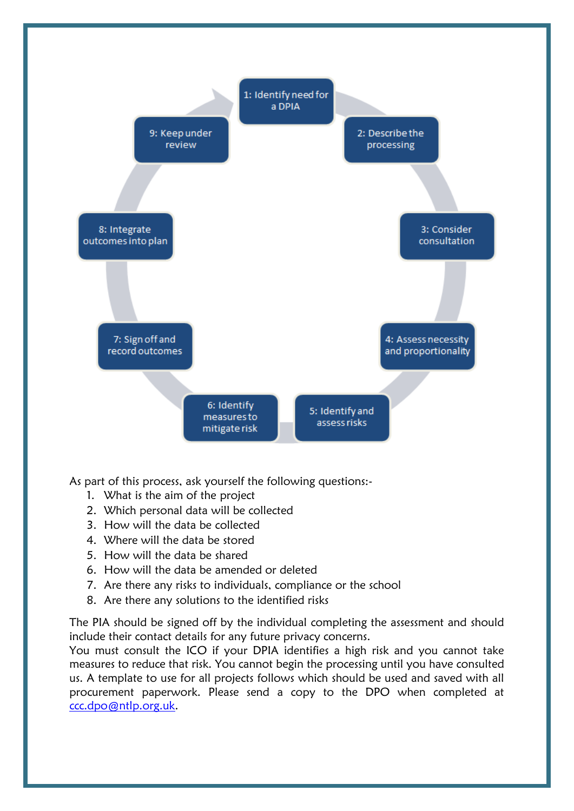

As part of this process, ask yourself the following questions:-

- 1. What is the aim of the project
- 2. Which personal data will be collected
- 3. How will the data be collected
- 4. Where will the data be stored
- 5. How will the data be shared
- 6. How will the data be amended or deleted
- 7. Are there any risks to individuals, compliance or the school
- 8. Are there any solutions to the identified risks

The PIA should be signed off by the individual completing the assessment and should include their contact details for any future privacy concerns.

You must consult the ICO if your DPIA identifies a high risk and you cannot take measures to reduce that risk. You cannot begin the processing until you have consulted us. A template to use for all projects follows which should be used and saved with all procurement paperwork. Please send a copy to the DPO when completed at [ccc.dpo@ntlp.org.uk.](mailto:ccc.dpo@ntlp.org.uk)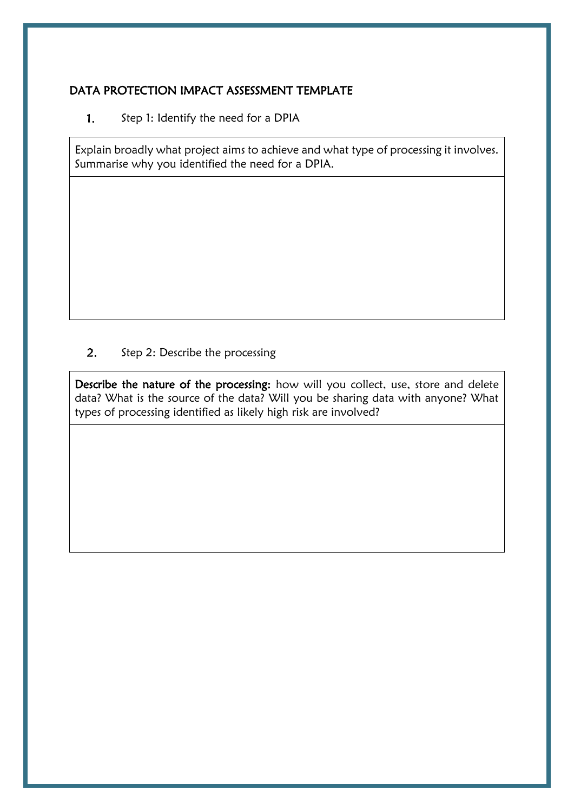### DATA PROTECTION IMPACT ASSESSMENT TEMPLATE

 $1.$ Step 1: Identify the need for a DPIA

Explain broadly what project aims to achieve and what type of processing it involves. Summarise why you identified the need for a DPIA.

#### $2.$ Step 2: Describe the processing

Describe the nature of the processing: how will you collect, use, store and delete data? What is the source of the data? Will you be sharing data with anyone? What types of processing identified as likely high risk are involved?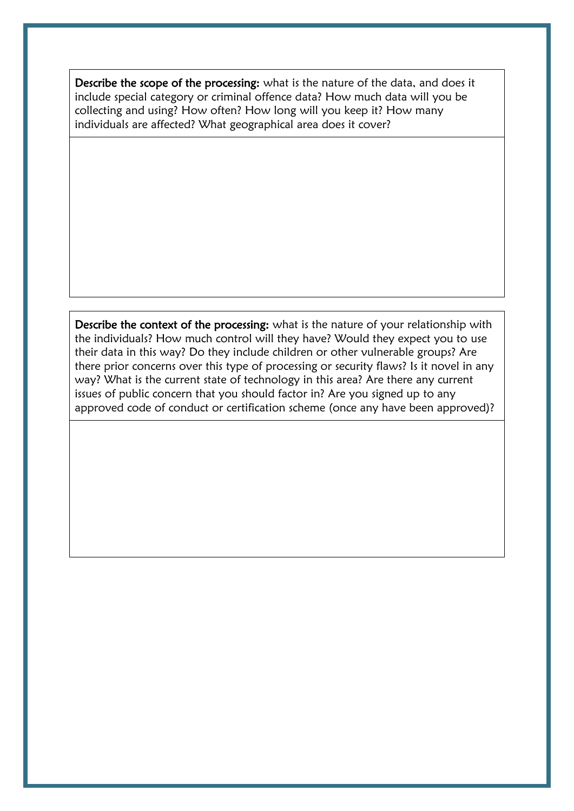Describe the scope of the processing: what is the nature of the data, and does it include special category or criminal offence data? How much data will you be collecting and using? How often? How long will you keep it? How many individuals are affected? What geographical area does it cover?

Describe the context of the processing: what is the nature of your relationship with the individuals? How much control will they have? Would they expect you to use their data in this way? Do they include children or other vulnerable groups? Are there prior concerns over this type of processing or security flaws? Is it novel in any way? What is the current state of technology in this area? Are there any current issues of public concern that you should factor in? Are you signed up to any approved code of conduct or certification scheme (once any have been approved)?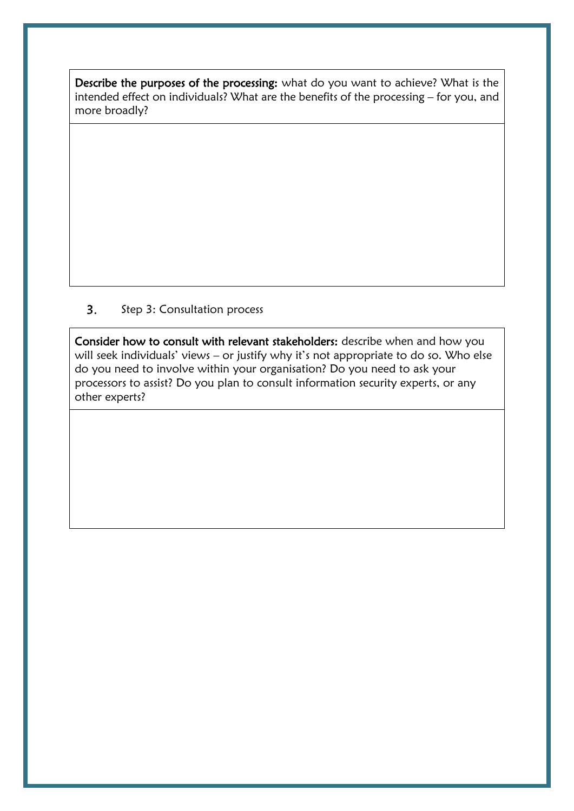Describe the purposes of the processing: what do you want to achieve? What is the intended effect on individuals? What are the benefits of the processing – for you, and more broadly?

 $3.$ Step 3: Consultation process

Consider how to consult with relevant stakeholders: describe when and how you will seek individuals' views – or justify why it's not appropriate to do so. Who else do you need to involve within your organisation? Do you need to ask your processors to assist? Do you plan to consult information security experts, or any other experts?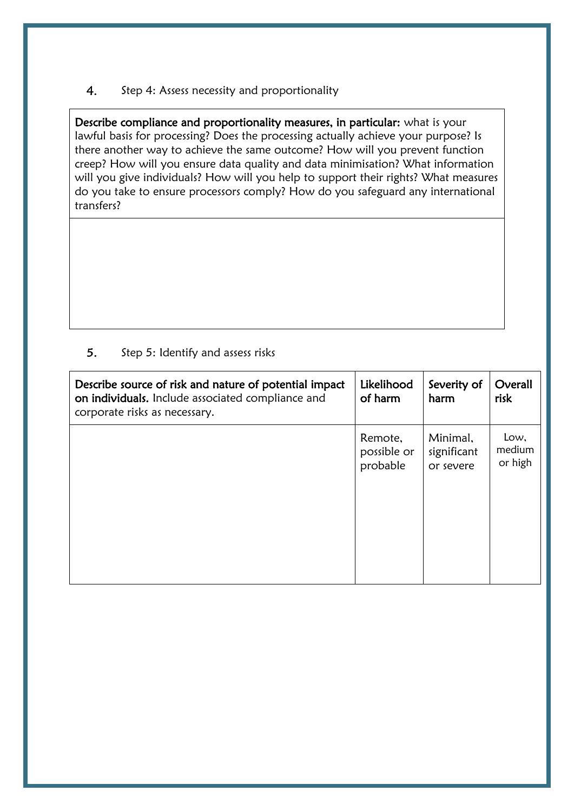#### $4.$ Step 4: Assess necessity and proportionality

Describe compliance and proportionality measures, in particular: what is your lawful basis for processing? Does the processing actually achieve your purpose? Is there another way to achieve the same outcome? How will you prevent function creep? How will you ensure data quality and data minimisation? What information will you give individuals? How will you help to support their rights? What measures do you take to ensure processors comply? How do you safeguard any international transfers?

#### 5. Step 5: Identify and assess risks

| Describe source of risk and nature of potential impact<br>on individuals. Include associated compliance and<br>corporate risks as necessary. | Likelihood<br>of harm | Severity of<br>harm | Overall<br>risk |
|----------------------------------------------------------------------------------------------------------------------------------------------|-----------------------|---------------------|-----------------|
|                                                                                                                                              | Remote,               | Minimal,            | Low,            |
|                                                                                                                                              | possible or           | significant         | medium          |
|                                                                                                                                              | probable              | or severe           | or high         |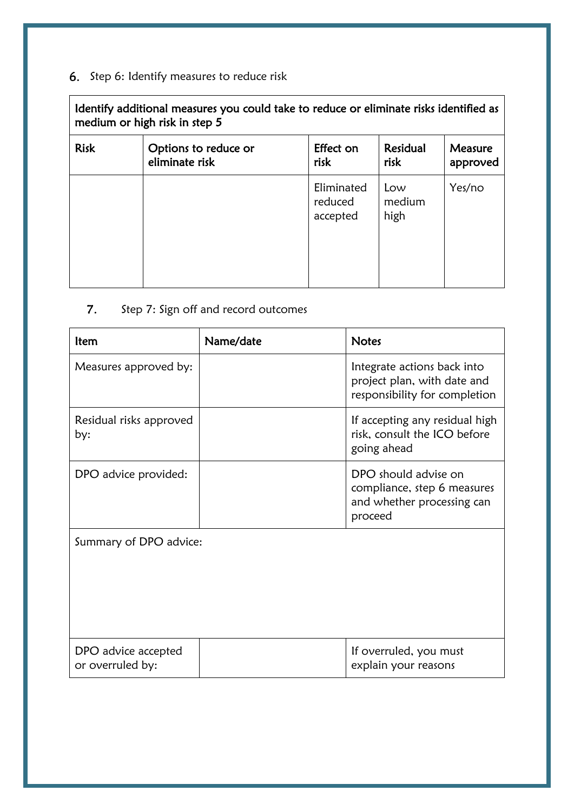## 6. Step 6: Identify measures to reduce risk

| Identify additional measures you could take to reduce or eliminate risks identified as<br>medium or high risk in step 5 |                                        |                                   |                       |                     |
|-------------------------------------------------------------------------------------------------------------------------|----------------------------------------|-----------------------------------|-----------------------|---------------------|
| <b>Risk</b>                                                                                                             | Options to reduce or<br>eliminate risk | Effect on<br>risk                 | Residual<br>risk      | Measure<br>approved |
|                                                                                                                         |                                        | Eliminated<br>reduced<br>accepted | Low<br>medium<br>high | Yes/no              |

#### $\overline{7}$ . Step 7: Sign off and record outcomes

| ltem                                    | Name/date | <b>Notes</b>                                                                                 |
|-----------------------------------------|-----------|----------------------------------------------------------------------------------------------|
| Measures approved by:                   |           | Integrate actions back into<br>project plan, with date and<br>responsibility for completion  |
| Residual risks approved<br>by:          |           | If accepting any residual high<br>risk, consult the ICO before<br>going ahead                |
| DPO advice provided:                    |           | DPO should advise on<br>compliance, step 6 measures<br>and whether processing can<br>proceed |
| Summary of DPO advice:                  |           |                                                                                              |
| DPO advice accepted<br>or overruled by: |           | If overruled, you must<br>explain your reasons                                               |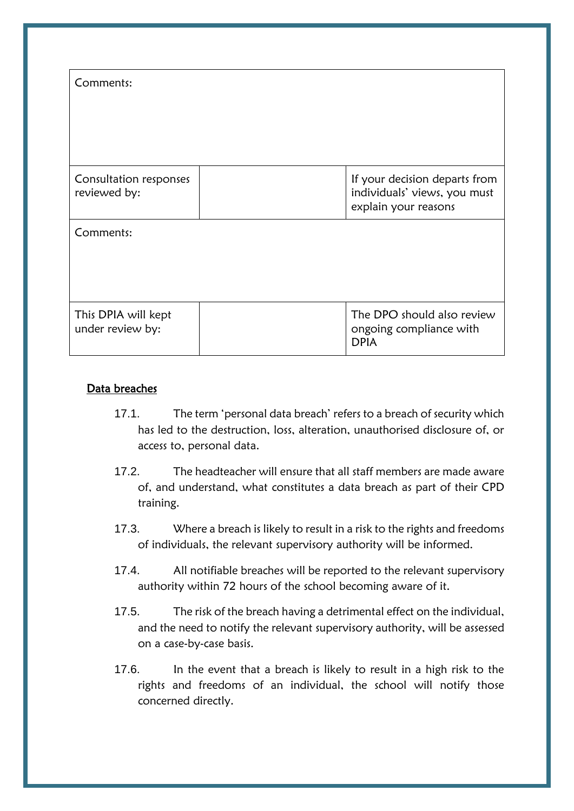| Comments:                               |                                                                                       |
|-----------------------------------------|---------------------------------------------------------------------------------------|
| Consultation responses<br>reviewed by:  | If your decision departs from<br>individuals' views, you must<br>explain your reasons |
| Comments:                               |                                                                                       |
| This DPIA will kept<br>under review by: | The DPO should also review<br>ongoing compliance with<br><b>DPIA</b>                  |

#### Data breaches

- 17.1. The term 'personal data breach' refers to a breach of security which has led to the destruction, loss, alteration, unauthorised disclosure of, or access to, personal data.
- 17.2. The headteacher will ensure that all staff members are made aware of, and understand, what constitutes a data breach as part of their CPD training.
- 17.3. Where a breach is likely to result in a risk to the rights and freedoms of individuals, the relevant supervisory authority will be informed.
- 17.4. All notifiable breaches will be reported to the relevant supervisory authority within 72 hours of the school becoming aware of it.
- 17.5. The risk of the breach having a detrimental effect on the individual, and the need to notify the relevant supervisory authority, will be assessed on a case-by-case basis.
- 17.6. In the event that a breach is likely to result in a high risk to the rights and freedoms of an individual, the school will notify those concerned directly.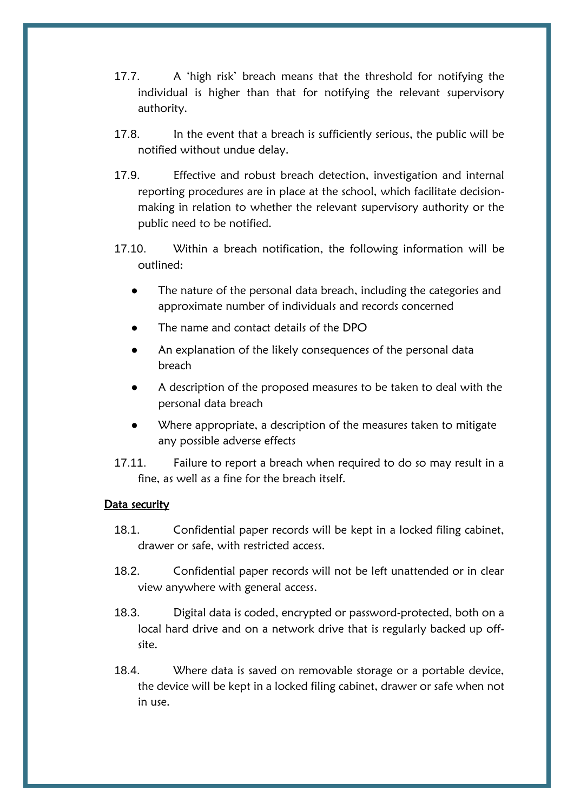- 17.7. A 'high risk' breach means that the threshold for notifying the individual is higher than that for notifying the relevant supervisory authority.
- 17.8. In the event that a breach is sufficiently serious, the public will be notified without undue delay.
- 17.9. Effective and robust breach detection, investigation and internal reporting procedures are in place at the school, which facilitate decisionmaking in relation to whether the relevant supervisory authority or the public need to be notified.
- 17.10. Within a breach notification, the following information will be outlined:
	- The nature of the personal data breach, including the categories and approximate number of individuals and records concerned
	- The name and contact details of the DPO
	- An explanation of the likely consequences of the personal data breach
	- A description of the proposed measures to be taken to deal with the personal data breach
	- Where appropriate, a description of the measures taken to mitigate any possible adverse effects
- 17.11. Failure to report a breach when required to do so may result in a fine, as well as a fine for the breach itself.

#### Data security

- 18.1. Confidential paper records will be kept in a locked filing cabinet, drawer or safe, with restricted access.
- 18.2. Confidential paper records will not be left unattended or in clear view anywhere with general access.
- 18.3. Digital data is coded, encrypted or password-protected, both on a local hard drive and on a network drive that is regularly backed up offsite.
- 18.4. Where data is saved on removable storage or a portable device, the device will be kept in a locked filing cabinet, drawer or safe when not in use.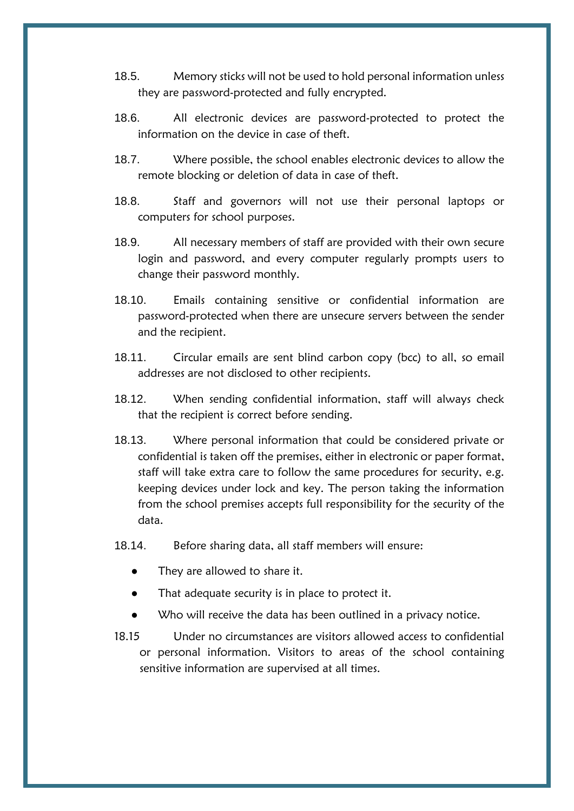- 18.5. Memory sticks will not be used to hold personal information unless they are password-protected and fully encrypted.
- 18.6. All electronic devices are password-protected to protect the information on the device in case of theft.
- 18.7. Where possible, the school enables electronic devices to allow the remote blocking or deletion of data in case of theft.
- 18.8. Staff and governors will not use their personal laptops or computers for school purposes.
- 18.9. All necessary members of staff are provided with their own secure login and password, and every computer regularly prompts users to change their password monthly.
- 18.10. Emails containing sensitive or confidential information are password-protected when there are unsecure servers between the sender and the recipient.
- 18.11. Circular emails are sent blind carbon copy (bcc) to all, so email addresses are not disclosed to other recipients.
- 18.12. When sending confidential information, staff will always check that the recipient is correct before sending.
- 18.13. Where personal information that could be considered private or confidential is taken off the premises, either in electronic or paper format, staff will take extra care to follow the same procedures for security, e.g. keeping devices under lock and key. The person taking the information from the school premises accepts full responsibility for the security of the data.
- 18.14. Before sharing data, all staff members will ensure:
	- They are allowed to share it.
	- That adequate security is in place to protect it.
	- Who will receive the data has been outlined in a privacy notice.
- 18.15 Under no circumstances are visitors allowed access to confidential or personal information. Visitors to areas of the school containing sensitive information are supervised at all times.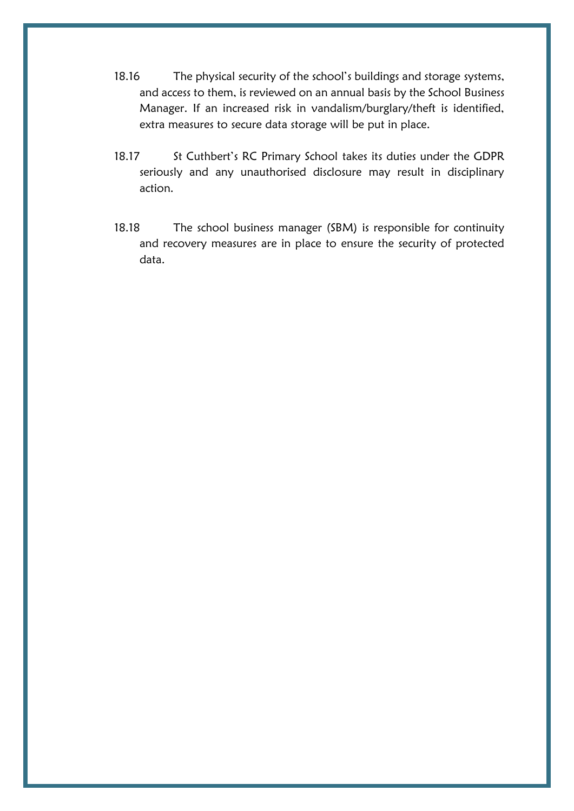- 18.16 The physical security of the school's buildings and storage systems, and access to them, is reviewed on an annual basis by the School Business Manager. If an increased risk in vandalism/burglary/theft is identified, extra measures to secure data storage will be put in place.
- 18.17 St Cuthbert's RC Primary School takes its duties under the GDPR seriously and any unauthorised disclosure may result in disciplinary action.
- 18.18 The school business manager (SBM) is responsible for continuity and recovery measures are in place to ensure the security of protected data.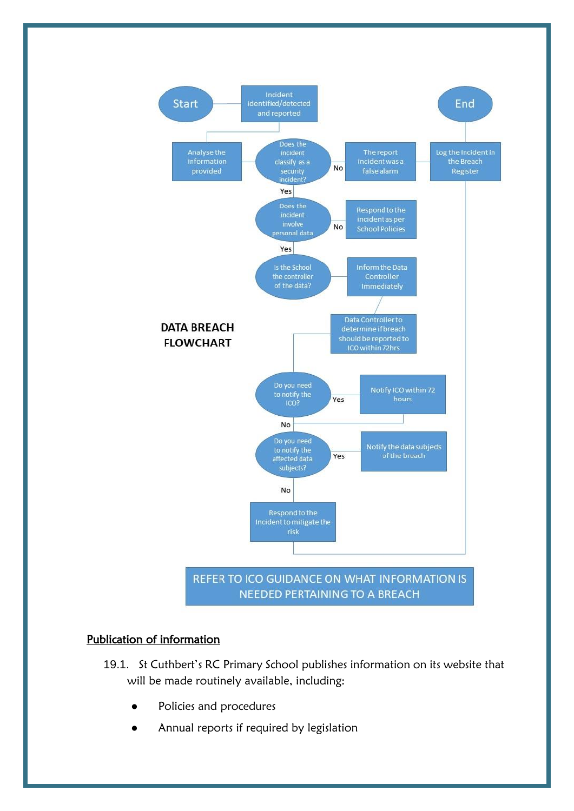

#### Publication of information

- 19.1. St Cuthbert's RC Primary School publishes information on its website that will be made routinely available, including:
	- Policies and procedures
	- Annual reports if required by legislation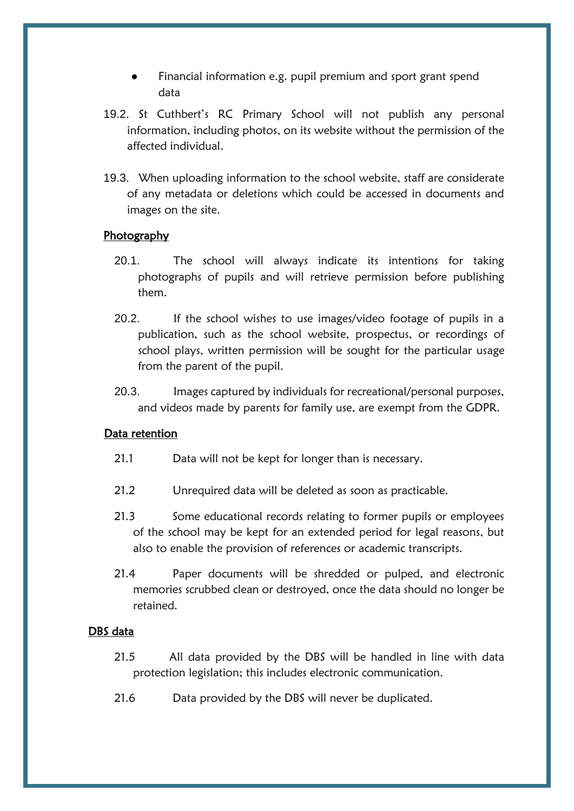- Financial information e.g. pupil premium and sport grant spend data
- 19.2. St Cuthbert's RC Primary School will not publish any personal information, including photos, on its website without the permission of the affected individual.
- 19.3. When uploading information to the school website, staff are considerate of any metadata or deletions which could be accessed in documents and images on the site.

#### **Photography**

- 20.1. The school will always indicate its intentions for taking photographs of pupils and will retrieve permission before publishing them.
- 20.2. If the school wishes to use images/video footage of pupils in a publication, such as the school website, prospectus, or recordings of school plays, written permission will be sought for the particular usage from the parent of the pupil.
- 20.3. Images captured by individuals for recreational/personal purposes, and videos made by parents for family use, are exempt from the GDPR.

#### Data retention

- 21.1 Data will not be kept for longer than is necessary.
- 21.2 Unrequired data will be deleted as soon as practicable.
- 21.3 Some educational records relating to former pupils or employees of the school may be kept for an extended period for legal reasons, but also to enable the provision of references or academic transcripts.
- 21.4 Paper documents will be shredded or pulped, and electronic memories scrubbed clean or destroyed, once the data should no longer be retained.

#### DBS data

- 21.5 All data provided by the DBS will be handled in line with data protection legislation; this includes electronic communication.
- 21.6 Data provided by the DBS will never be duplicated.